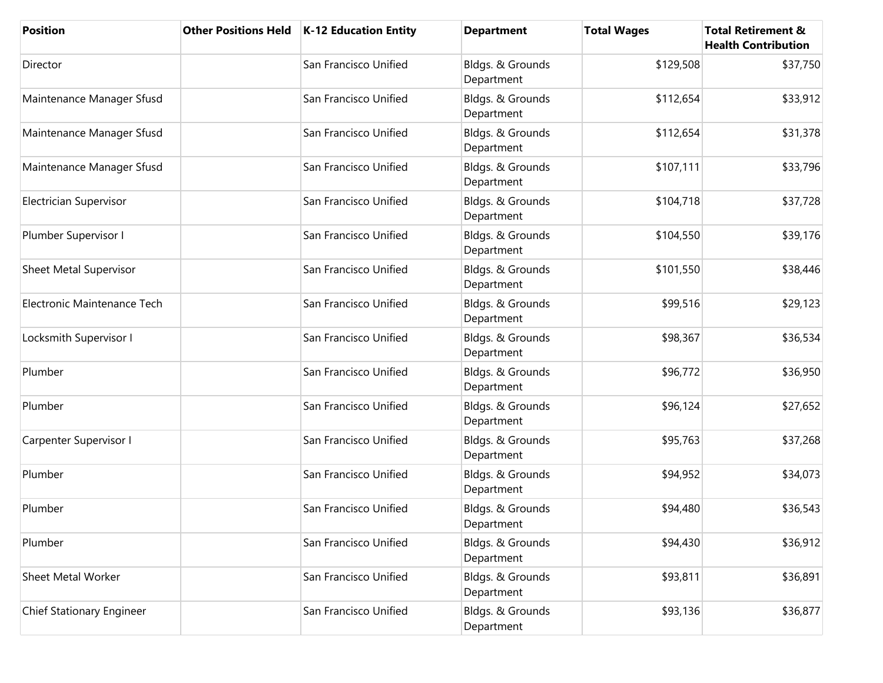| <b>Position</b>               | <b>Other Positions Held</b> | <b>K-12 Education Entity</b> | <b>Department</b>              | <b>Total Wages</b> | <b>Total Retirement &amp;</b><br><b>Health Contribution</b> |
|-------------------------------|-----------------------------|------------------------------|--------------------------------|--------------------|-------------------------------------------------------------|
| Director                      |                             | San Francisco Unified        | Bldgs. & Grounds<br>Department | \$129,508          | \$37,750                                                    |
| Maintenance Manager Sfusd     |                             | San Francisco Unified        | Bldgs. & Grounds<br>Department | \$112,654          | \$33,912                                                    |
| Maintenance Manager Sfusd     |                             | San Francisco Unified        | Bldgs. & Grounds<br>Department | \$112,654          | \$31,378                                                    |
| Maintenance Manager Sfusd     |                             | San Francisco Unified        | Bldgs. & Grounds<br>Department | \$107,111          | \$33,796                                                    |
| Electrician Supervisor        |                             | San Francisco Unified        | Bldgs. & Grounds<br>Department | \$104,718          | \$37,728                                                    |
| Plumber Supervisor I          |                             | San Francisco Unified        | Bldgs. & Grounds<br>Department | \$104,550          | \$39,176                                                    |
| <b>Sheet Metal Supervisor</b> |                             | San Francisco Unified        | Bldgs. & Grounds<br>Department | \$101,550          | \$38,446                                                    |
| Electronic Maintenance Tech   |                             | San Francisco Unified        | Bldgs. & Grounds<br>Department | \$99,516           | \$29,123                                                    |
| Locksmith Supervisor I        |                             | San Francisco Unified        | Bldgs. & Grounds<br>Department | \$98,367           | \$36,534                                                    |
| Plumber                       |                             | San Francisco Unified        | Bldgs. & Grounds<br>Department | \$96,772           | \$36,950                                                    |
| Plumber                       |                             | San Francisco Unified        | Bldgs. & Grounds<br>Department | \$96,124           | \$27,652                                                    |
| Carpenter Supervisor I        |                             | San Francisco Unified        | Bldgs. & Grounds<br>Department | \$95,763           | \$37,268                                                    |
| Plumber                       |                             | San Francisco Unified        | Bldgs. & Grounds<br>Department | \$94,952           | \$34,073                                                    |
| Plumber                       |                             | San Francisco Unified        | Bldgs. & Grounds<br>Department | \$94,480           | \$36,543                                                    |
| Plumber                       |                             | San Francisco Unified        | Bldgs. & Grounds<br>Department | \$94,430           | \$36,912                                                    |
| Sheet Metal Worker            |                             | San Francisco Unified        | Bldgs. & Grounds<br>Department | \$93,811           | \$36,891                                                    |
| Chief Stationary Engineer     |                             | San Francisco Unified        | Bldgs. & Grounds<br>Department | \$93,136           | \$36,877                                                    |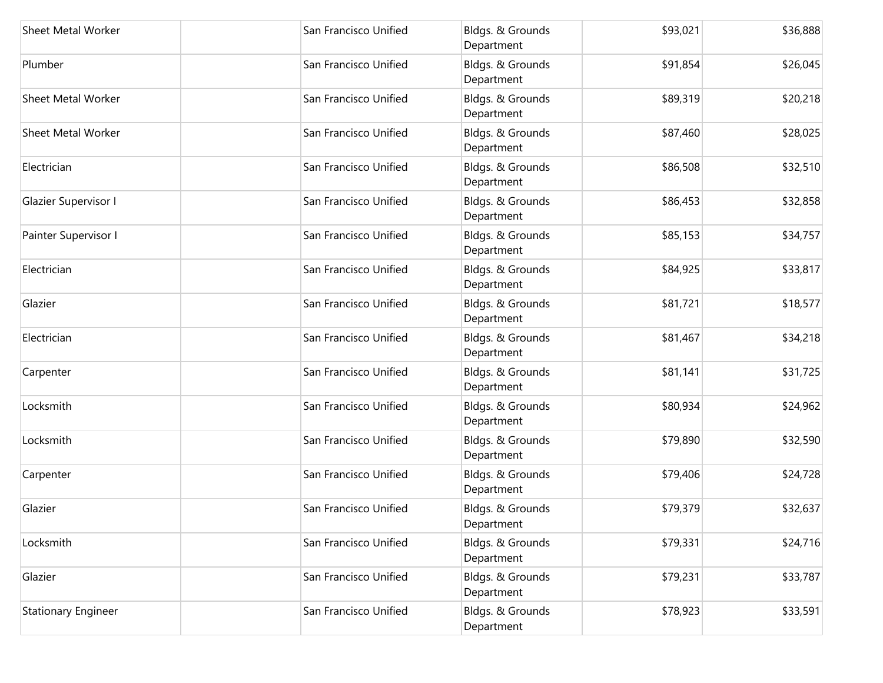| Sheet Metal Worker         | San Francisco Unified | Bldgs. & Grounds<br>Department | \$93,021 | \$36,888 |
|----------------------------|-----------------------|--------------------------------|----------|----------|
| Plumber                    | San Francisco Unified | Bldgs. & Grounds<br>Department | \$91,854 | \$26,045 |
| <b>Sheet Metal Worker</b>  | San Francisco Unified | Bldgs. & Grounds<br>Department | \$89,319 | \$20,218 |
| Sheet Metal Worker         | San Francisco Unified | Bldgs. & Grounds<br>Department | \$87,460 | \$28,025 |
| Electrician                | San Francisco Unified | Bldgs. & Grounds<br>Department | \$86,508 | \$32,510 |
| Glazier Supervisor I       | San Francisco Unified | Bldgs. & Grounds<br>Department | \$86,453 | \$32,858 |
| Painter Supervisor I       | San Francisco Unified | Bldgs. & Grounds<br>Department | \$85,153 | \$34,757 |
| Electrician                | San Francisco Unified | Bldgs. & Grounds<br>Department | \$84,925 | \$33,817 |
| Glazier                    | San Francisco Unified | Bldgs. & Grounds<br>Department | \$81,721 | \$18,577 |
| Electrician                | San Francisco Unified | Bldgs. & Grounds<br>Department | \$81,467 | \$34,218 |
| Carpenter                  | San Francisco Unified | Bldgs. & Grounds<br>Department | \$81,141 | \$31,725 |
| Locksmith                  | San Francisco Unified | Bldgs. & Grounds<br>Department | \$80,934 | \$24,962 |
| Locksmith                  | San Francisco Unified | Bldgs. & Grounds<br>Department | \$79,890 | \$32,590 |
| Carpenter                  | San Francisco Unified | Bldgs. & Grounds<br>Department | \$79,406 | \$24,728 |
| Glazier                    | San Francisco Unified | Bldgs. & Grounds<br>Department | \$79,379 | \$32,637 |
| Locksmith                  | San Francisco Unified | Bldgs. & Grounds<br>Department | \$79,331 | \$24,716 |
| Glazier                    | San Francisco Unified | Bldgs. & Grounds<br>Department | \$79,231 | \$33,787 |
| <b>Stationary Engineer</b> | San Francisco Unified | Bldgs. & Grounds<br>Department | \$78,923 | \$33,591 |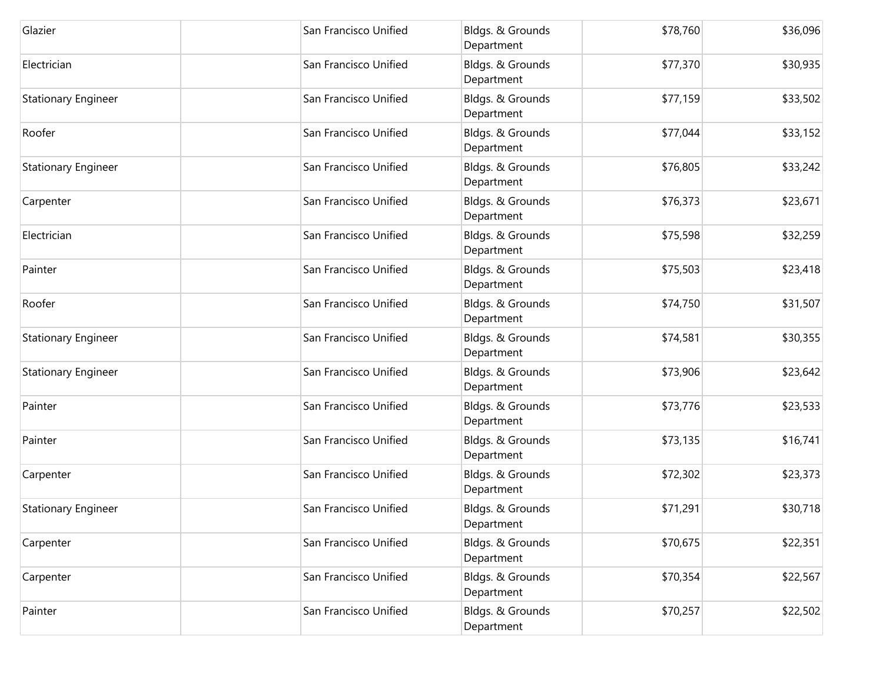| Glazier                    | San Francisco Unified | Bldgs. & Grounds<br>Department | \$78,760 | \$36,096 |
|----------------------------|-----------------------|--------------------------------|----------|----------|
| Electrician                | San Francisco Unified | Bldgs. & Grounds<br>Department | \$77,370 | \$30,935 |
| <b>Stationary Engineer</b> | San Francisco Unified | Bldgs. & Grounds<br>Department | \$77,159 | \$33,502 |
| Roofer                     | San Francisco Unified | Bldgs. & Grounds<br>Department | \$77,044 | \$33,152 |
| <b>Stationary Engineer</b> | San Francisco Unified | Bldgs. & Grounds<br>Department | \$76,805 | \$33,242 |
| Carpenter                  | San Francisco Unified | Bldgs. & Grounds<br>Department | \$76,373 | \$23,671 |
| Electrician                | San Francisco Unified | Bldgs. & Grounds<br>Department | \$75,598 | \$32,259 |
| Painter                    | San Francisco Unified | Bldgs. & Grounds<br>Department | \$75,503 | \$23,418 |
| Roofer                     | San Francisco Unified | Bldgs. & Grounds<br>Department | \$74,750 | \$31,507 |
| <b>Stationary Engineer</b> | San Francisco Unified | Bldgs. & Grounds<br>Department | \$74,581 | \$30,355 |
| <b>Stationary Engineer</b> | San Francisco Unified | Bldgs. & Grounds<br>Department | \$73,906 | \$23,642 |
| Painter                    | San Francisco Unified | Bldgs. & Grounds<br>Department | \$73,776 | \$23,533 |
| Painter                    | San Francisco Unified | Bldgs. & Grounds<br>Department | \$73,135 | \$16,741 |
| Carpenter                  | San Francisco Unified | Bldgs. & Grounds<br>Department | \$72,302 | \$23,373 |
| <b>Stationary Engineer</b> | San Francisco Unified | Bldgs. & Grounds<br>Department | \$71,291 | \$30,718 |
| Carpenter                  | San Francisco Unified | Bldgs. & Grounds<br>Department | \$70,675 | \$22,351 |
| Carpenter                  | San Francisco Unified | Bldgs. & Grounds<br>Department | \$70,354 | \$22,567 |
| Painter                    | San Francisco Unified | Bldgs. & Grounds<br>Department | \$70,257 | \$22,502 |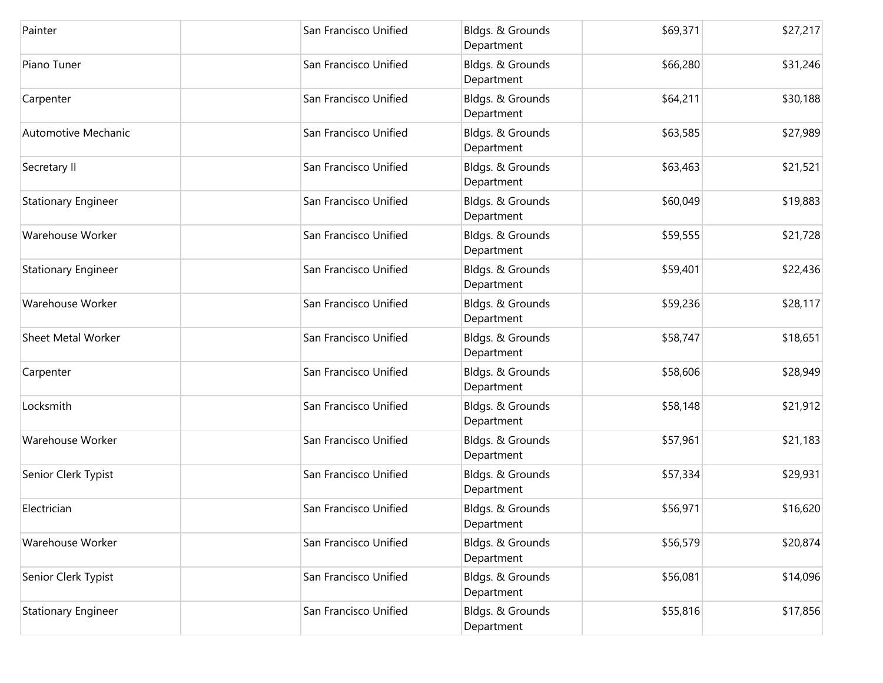| Painter                    | San Francisco Unified | Bldgs. & Grounds<br>Department | \$69,371 | \$27,217 |
|----------------------------|-----------------------|--------------------------------|----------|----------|
| Piano Tuner                | San Francisco Unified | Bldgs. & Grounds<br>Department | \$66,280 | \$31,246 |
| Carpenter                  | San Francisco Unified | Bldgs. & Grounds<br>Department | \$64,211 | \$30,188 |
| Automotive Mechanic        | San Francisco Unified | Bldgs. & Grounds<br>Department | \$63,585 | \$27,989 |
| Secretary II               | San Francisco Unified | Bldgs. & Grounds<br>Department | \$63,463 | \$21,521 |
| <b>Stationary Engineer</b> | San Francisco Unified | Bldgs. & Grounds<br>Department | \$60,049 | \$19,883 |
| Warehouse Worker           | San Francisco Unified | Bldgs. & Grounds<br>Department | \$59,555 | \$21,728 |
| <b>Stationary Engineer</b> | San Francisco Unified | Bldgs. & Grounds<br>Department | \$59,401 | \$22,436 |
| Warehouse Worker           | San Francisco Unified | Bldgs. & Grounds<br>Department | \$59,236 | \$28,117 |
| <b>Sheet Metal Worker</b>  | San Francisco Unified | Bldgs. & Grounds<br>Department | \$58,747 | \$18,651 |
| Carpenter                  | San Francisco Unified | Bldgs. & Grounds<br>Department | \$58,606 | \$28,949 |
| Locksmith                  | San Francisco Unified | Bldgs. & Grounds<br>Department | \$58,148 | \$21,912 |
| Warehouse Worker           | San Francisco Unified | Bldgs. & Grounds<br>Department | \$57,961 | \$21,183 |
| Senior Clerk Typist        | San Francisco Unified | Bldgs. & Grounds<br>Department | \$57,334 | \$29,931 |
| Electrician                | San Francisco Unified | Bldgs. & Grounds<br>Department | \$56,971 | \$16,620 |
| Warehouse Worker           | San Francisco Unified | Bldgs. & Grounds<br>Department | \$56,579 | \$20,874 |
| Senior Clerk Typist        | San Francisco Unified | Bldgs. & Grounds<br>Department | \$56,081 | \$14,096 |
| <b>Stationary Engineer</b> | San Francisco Unified | Bldgs. & Grounds<br>Department | \$55,816 | \$17,856 |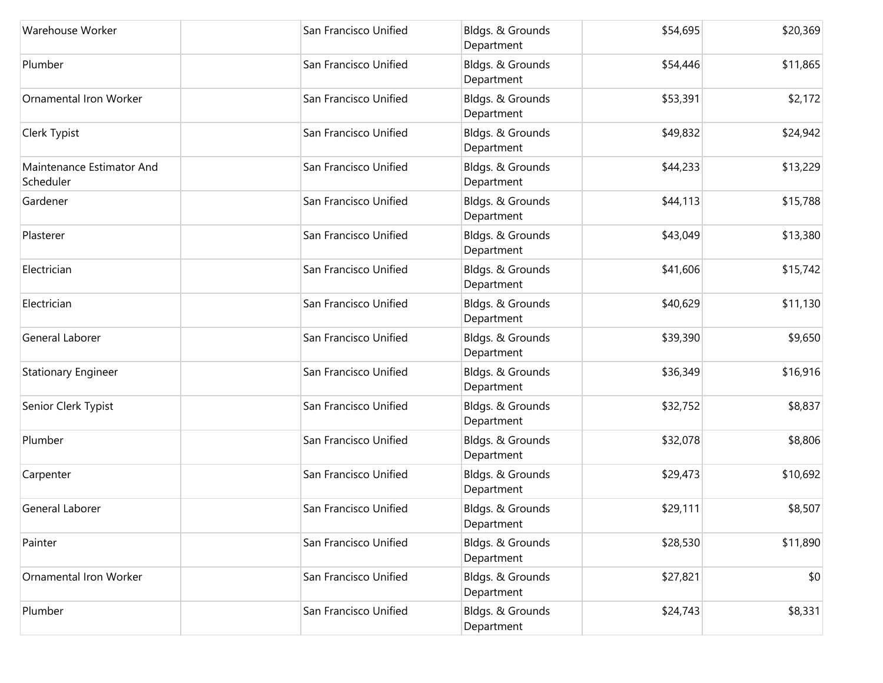| Warehouse Worker                       | San Francisco Unified | Bldgs. & Grounds<br>Department | \$54,695 | \$20,369 |
|----------------------------------------|-----------------------|--------------------------------|----------|----------|
| Plumber                                | San Francisco Unified | Bldgs. & Grounds<br>Department | \$54,446 | \$11,865 |
| <b>Ornamental Iron Worker</b>          | San Francisco Unified | Bldgs. & Grounds<br>Department | \$53,391 | \$2,172  |
| Clerk Typist                           | San Francisco Unified | Bldgs. & Grounds<br>Department | \$49,832 | \$24,942 |
| Maintenance Estimator And<br>Scheduler | San Francisco Unified | Bldgs. & Grounds<br>Department | \$44,233 | \$13,229 |
| Gardener                               | San Francisco Unified | Bldgs. & Grounds<br>Department | \$44,113 | \$15,788 |
| Plasterer                              | San Francisco Unified | Bldgs. & Grounds<br>Department | \$43,049 | \$13,380 |
| Electrician                            | San Francisco Unified | Bldgs. & Grounds<br>Department | \$41,606 | \$15,742 |
| Electrician                            | San Francisco Unified | Bldgs. & Grounds<br>Department | \$40,629 | \$11,130 |
| General Laborer                        | San Francisco Unified | Bldgs. & Grounds<br>Department | \$39,390 | \$9,650  |
| <b>Stationary Engineer</b>             | San Francisco Unified | Bldgs. & Grounds<br>Department | \$36,349 | \$16,916 |
| Senior Clerk Typist                    | San Francisco Unified | Bldgs. & Grounds<br>Department | \$32,752 | \$8,837  |
| Plumber                                | San Francisco Unified | Bldgs. & Grounds<br>Department | \$32,078 | \$8,806  |
| Carpenter                              | San Francisco Unified | Bldgs. & Grounds<br>Department | \$29,473 | \$10,692 |
| General Laborer                        | San Francisco Unified | Bldgs. & Grounds<br>Department | \$29,111 | \$8,507  |
| Painter                                | San Francisco Unified | Bldgs. & Grounds<br>Department | \$28,530 | \$11,890 |
| <b>Ornamental Iron Worker</b>          | San Francisco Unified | Bldgs. & Grounds<br>Department | \$27,821 | \$0      |
| Plumber                                | San Francisco Unified | Bldgs. & Grounds<br>Department | \$24,743 | \$8,331  |